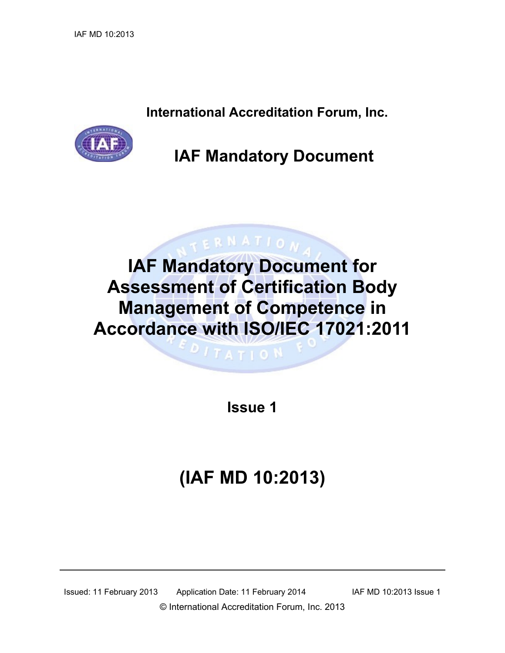**International Accreditation Forum, Inc.**



### **IAF Mandatory Document**

## **IAF Mandatory Document for Assessment of Certification Body Management of Competence in Accordance with ISO/IEC 17021:2011**

 $ITATIO$ <sup>N</sup>

ERNATION

**Issue 1**

# **(IAF MD 10:2013)**

Issued: 11 February 2013 Application Date: 11 February 2014 IAF MD 10:2013 Issue 1 © International Accreditation Forum, Inc. 2013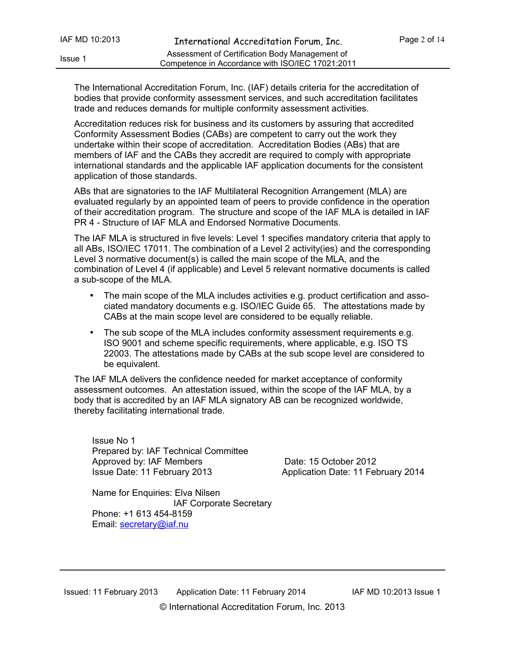The International Accreditation Forum, Inc. (IAF) details criteria for the accreditation of bodies that provide conformity assessment services, and such accreditation facilitates trade and reduces demands for multiple conformity assessment activities.

Accreditation reduces risk for business and its customers by assuring that accredited Conformity Assessment Bodies (CABs) are competent to carry out the work they undertake within their scope of accreditation. Accreditation Bodies (ABs) that are members of IAF and the CABs they accredit are required to comply with appropriate international standards and the applicable IAF application documents for the consistent application of those standards.

ABs that are signatories to the IAF Multilateral Recognition Arrangement (MLA) are evaluated regularly by an appointed team of peers to provide confidence in the operation of their accreditation program. The structure and scope of the IAF MLA is detailed in IAF PR 4 - Structure of IAF MLA and Endorsed Normative Documents.

The IAF MLA is structured in five levels: Level 1 specifies mandatory criteria that apply to all ABs, ISO/IEC 17011. The combination of a Level 2 activity(ies) and the corresponding Level 3 normative document(s) is called the main scope of the MLA, and the combination of Level 4 (if applicable) and Level 5 relevant normative documents is called a sub-scope of the MLA.

- The main scope of the MLA includes activities e.g. product certification and associated mandatory documents e.g. ISO/IEC Guide 65. The attestations made by CABs at the main scope level are considered to be equally reliable.
- The sub scope of the MLA includes conformity assessment requirements e.g. ISO 9001 and scheme specific requirements, where applicable, e.g. ISO TS 22003. The attestations made by CABs at the sub scope level are considered to be equivalent.

The IAF MLA delivers the confidence needed for market acceptance of conformity assessment outcomes. An attestation issued, within the scope of the IAF MLA, by a body that is accredited by an IAF MLA signatory AB can be recognized worldwide, thereby facilitating international trade.

Issue No 1 Prepared by: IAF Technical Committee Approved by: IAF Members Date: 15 October 2012 Issue Date: 11 February 2013 Application Date: 11 February 2014

Name for Enquiries: Elva Nilsen IAF Corporate Secretary Phone: +1 613 454-8159 Email: [secretary@iaf.nu](mailto:secretary@iaf.nu)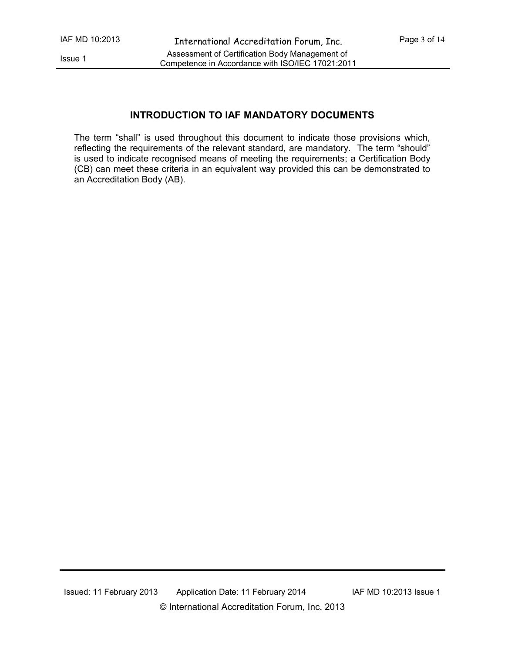#### **INTRODUCTION TO IAF MANDATORY DOCUMENTS**

The term "shall" is used throughout this document to indicate those provisions which, reflecting the requirements of the relevant standard, are mandatory. The term "should" is used to indicate recognised means of meeting the requirements; a Certification Body (CB) can meet these criteria in an equivalent way provided this can be demonstrated to an Accreditation Body (AB).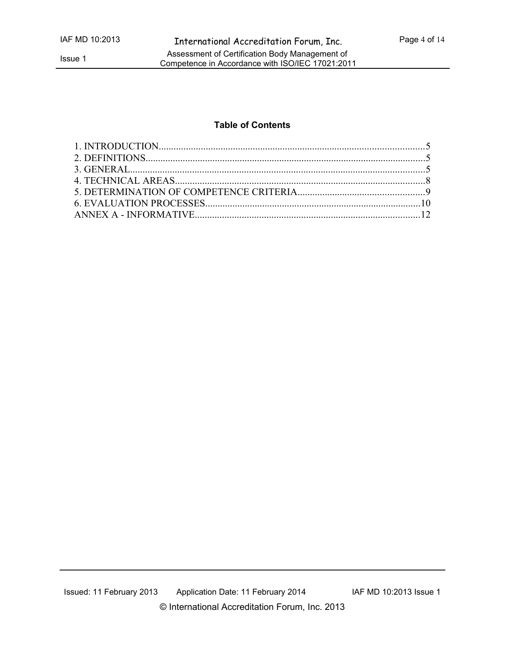#### **Table of Contents**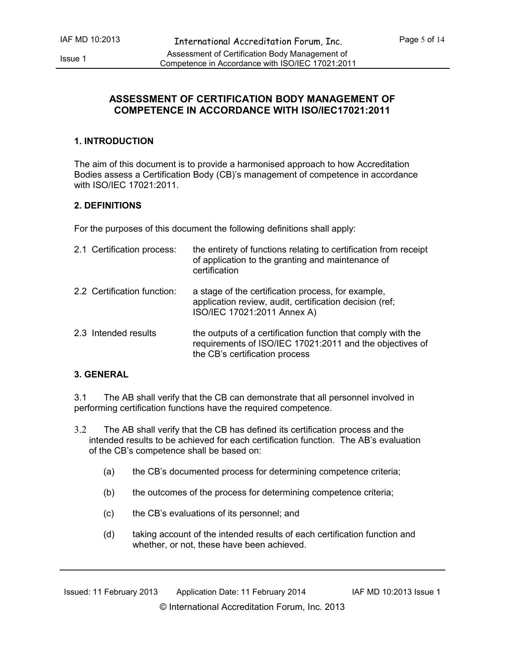#### **ASSESSMENT OF CERTIFICATION BODY MANAGEMENT OF COMPETENCE IN ACCORDANCE WITH ISO/IEC17021:2011**

#### **1. INTRODUCTION**

The aim of this document is to provide a harmonised approach to how Accreditation Bodies assess a Certification Body (CB)'s management of competence in accordance with ISO/IEC 17021:2011.

#### **2. DEFINITIONS**

For the purposes of this document the following definitions shall apply:

| 2.1 Certification process:  | the entirety of functions relating to certification from receipt<br>of application to the granting and maintenance of<br>certification                     |
|-----------------------------|------------------------------------------------------------------------------------------------------------------------------------------------------------|
| 2.2 Certification function: | a stage of the certification process, for example,<br>application review, audit, certification decision (ref;<br>ISO/IEC 17021:2011 Annex A)               |
| 2.3 Intended results        | the outputs of a certification function that comply with the<br>requirements of ISO/IEC 17021:2011 and the objectives of<br>the CB's certification process |

#### **3. GENERAL**

3.1 The AB shall verify that the CB can demonstrate that all personnel involved in performing certification functions have the required competence.

3.2 The AB shall verify that the CB has defined its certification process and the intended results to be achieved for each certification function. The AB's evaluation of the CB's competence shall be based on:

- (a) the CB's documented process for determining competence criteria;
- (b) the outcomes of the process for determining competence criteria;
- (c) the CB's evaluations of its personnel; and
- (d) taking account of the intended results of each certification function and whether, or not, these have been achieved.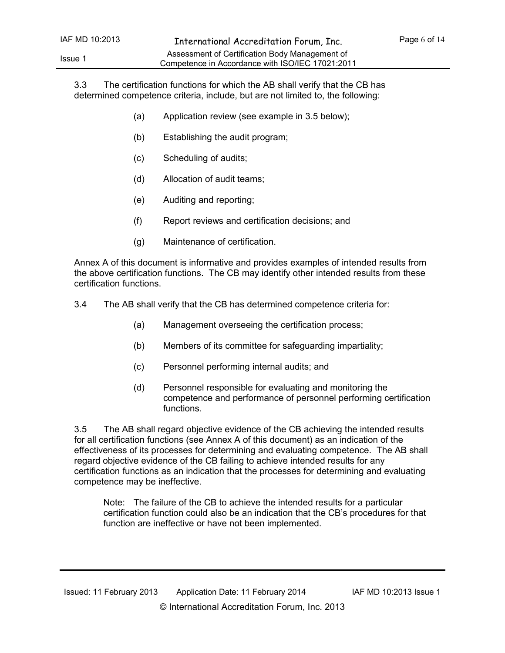3.3 The certification functions for which the AB shall verify that the CB has determined competence criteria, include, but are not limited to, the following:

- (a) Application review (see example in 3.5 below);
- (b) Establishing the audit program;
- (c) Scheduling of audits;
- (d) Allocation of audit teams;
- (e) Auditing and reporting;
- (f) Report reviews and certification decisions; and
- (g) Maintenance of certification.

Annex A of this document is informative and provides examples of intended results from the above certification functions. The CB may identify other intended results from these certification functions.

- 3.4 The AB shall verify that the CB has determined competence criteria for:
	- (a) Management overseeing the certification process;
	- (b) Members of its committee for safeguarding impartiality;
	- (c) Personnel performing internal audits; and
	- (d) Personnel responsible for evaluating and monitoring the competence and performance of personnel performing certification functions.

3.5 The AB shall regard objective evidence of the CB achieving the intended results for all certification functions (see Annex A of this document) as an indication of the effectiveness of its processes for determining and evaluating competence. The AB shall regard objective evidence of the CB failing to achieve intended results for any certification functions as an indication that the processes for determining and evaluating competence may be ineffective.

Note: The failure of the CB to achieve the intended results for a particular certification function could also be an indication that the CB's procedures for that function are ineffective or have not been implemented.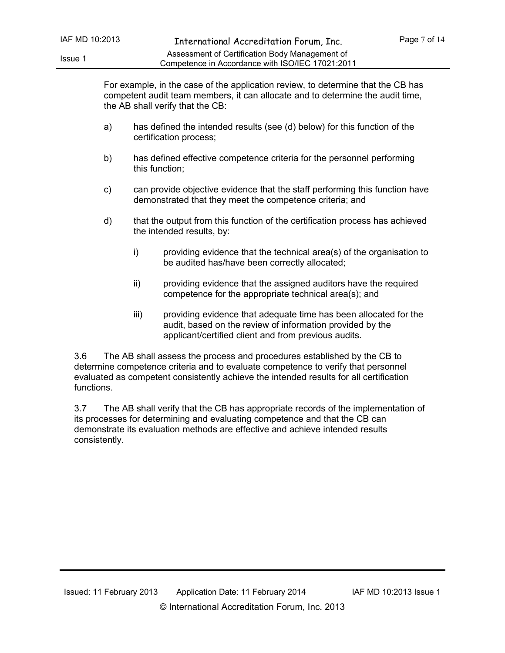For example, in the case of the application review, to determine that the CB has competent audit team members, it can allocate and to determine the audit time, the AB shall verify that the CB:

- a) has defined the intended results (see (d) below) for this function of the certification process;
- b) has defined effective competence criteria for the personnel performing this function;
- c) can provide objective evidence that the staff performing this function have demonstrated that they meet the competence criteria; and
- d) that the output from this function of the certification process has achieved the intended results, by:
	- i) providing evidence that the technical area(s) of the organisation to be audited has/have been correctly allocated;
	- ii) providing evidence that the assigned auditors have the required competence for the appropriate technical area(s); and
	- iii) providing evidence that adequate time has been allocated for the audit, based on the review of information provided by the applicant/certified client and from previous audits.

3.6 The AB shall assess the process and procedures established by the CB to determine competence criteria and to evaluate competence to verify that personnel evaluated as competent consistently achieve the intended results for all certification functions.

3.7 The AB shall verify that the CB has appropriate records of the implementation of its processes for determining and evaluating competence and that the CB can demonstrate its evaluation methods are effective and achieve intended results consistently.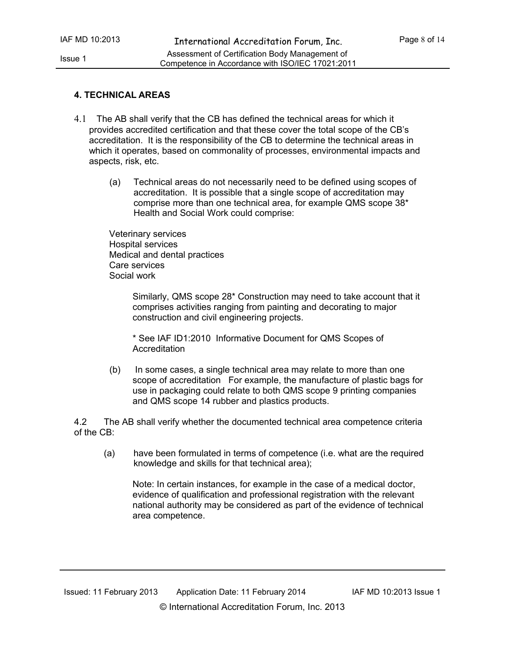#### **4. TECHNICAL AREAS**

- 4.1 The AB shall verify that the CB has defined the technical areas for which it provides accredited certification and that these cover the total scope of the CB's accreditation. It is the responsibility of the CB to determine the technical areas in which it operates, based on commonality of processes, environmental impacts and aspects, risk, etc.
	- (a) Technical areas do not necessarily need to be defined using scopes of accreditation. It is possible that a single scope of accreditation may comprise more than one technical area, for example QMS scope 38\* Health and Social Work could comprise:

Veterinary services Hospital services Medical and dental practices Care services Social work

> Similarly, QMS scope 28\* Construction may need to take account that it comprises activities ranging from painting and decorating to major construction and civil engineering projects.

\* See IAF ID1:2010 Informative Document for QMS Scopes of Accreditation

(b) In some cases, a single technical area may relate to more than one scope of accreditation For example, the manufacture of plastic bags for use in packaging could relate to both QMS scope 9 printing companies and QMS scope 14 rubber and plastics products.

4.2 The AB shall verify whether the documented technical area competence criteria of the CB:

(a) have been formulated in terms of competence (i.e. what are the required knowledge and skills for that technical area);

Note: In certain instances, for example in the case of a medical doctor, evidence of qualification and professional registration with the relevant national authority may be considered as part of the evidence of technical area competence.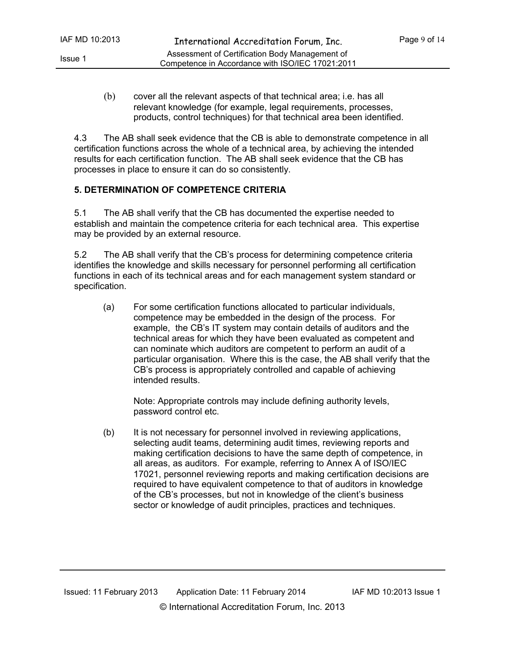(b) cover all the relevant aspects of that technical area; i.e. has all relevant knowledge (for example, legal requirements, processes, products, control techniques) for that technical area been identified.

4.3 The AB shall seek evidence that the CB is able to demonstrate competence in all certification functions across the whole of a technical area, by achieving the intended results for each certification function. The AB shall seek evidence that the CB has processes in place to ensure it can do so consistently.

### **5. DETERMINATION OF COMPETENCE CRITERIA**

5.1 The AB shall verify that the CB has documented the expertise needed to establish and maintain the competence criteria for each technical area. This expertise may be provided by an external resource.

5.2 The AB shall verify that the CB's process for determining competence criteria identifies the knowledge and skills necessary for personnel performing all certification functions in each of its technical areas and for each management system standard or specification.

(a) For some certification functions allocated to particular individuals, competence may be embedded in the design of the process. For example, the CB's IT system may contain details of auditors and the technical areas for which they have been evaluated as competent and can nominate which auditors are competent to perform an audit of a particular organisation. Where this is the case, the AB shall verify that the CB's process is appropriately controlled and capable of achieving intended results.

Note: Appropriate controls may include defining authority levels, password control etc.

(b) It is not necessary for personnel involved in reviewing applications, selecting audit teams, determining audit times, reviewing reports and making certification decisions to have the same depth of competence, in all areas, as auditors. For example, referring to Annex A of ISO/IEC 17021, personnel reviewing reports and making certification decisions are required to have equivalent competence to that of auditors in knowledge of the CB's processes, but not in knowledge of the client's business sector or knowledge of audit principles, practices and techniques.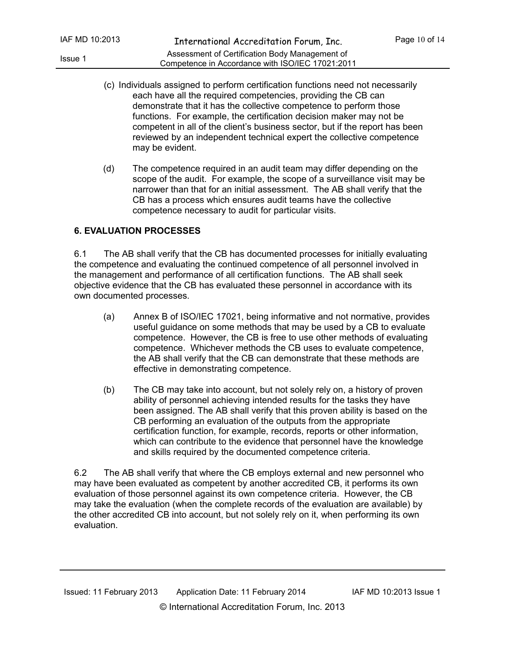- (c) Individuals assigned to perform certification functions need not necessarily each have all the required competencies, providing the CB can demonstrate that it has the collective competence to perform those functions. For example, the certification decision maker may not be competent in all of the client's business sector, but if the report has been reviewed by an independent technical expert the collective competence may be evident.
- (d) The competence required in an audit team may differ depending on the scope of the audit. For example, the scope of a surveillance visit may be narrower than that for an initial assessment. The AB shall verify that the CB has a process which ensures audit teams have the collective competence necessary to audit for particular visits.

#### **6. EVALUATION PROCESSES**

6.1 The AB shall verify that the CB has documented processes for initially evaluating the competence and evaluating the continued competence of all personnel involved in the management and performance of all certification functions. The AB shall seek objective evidence that the CB has evaluated these personnel in accordance with its own documented processes.

- (a) Annex B of ISO/IEC 17021, being informative and not normative, provides useful guidance on some methods that may be used by a CB to evaluate competence. However, the CB is free to use other methods of evaluating competence. Whichever methods the CB uses to evaluate competence, the AB shall verify that the CB can demonstrate that these methods are effective in demonstrating competence.
- (b) The CB may take into account, but not solely rely on, a history of proven ability of personnel achieving intended results for the tasks they have been assigned. The AB shall verify that this proven ability is based on the CB performing an evaluation of the outputs from the appropriate certification function, for example, records, reports or other information, which can contribute to the evidence that personnel have the knowledge and skills required by the documented competence criteria.

6.2 The AB shall verify that where the CB employs external and new personnel who may have been evaluated as competent by another accredited CB, it performs its own evaluation of those personnel against its own competence criteria. However, the CB may take the evaluation (when the complete records of the evaluation are available) by the other accredited CB into account, but not solely rely on it, when performing its own evaluation.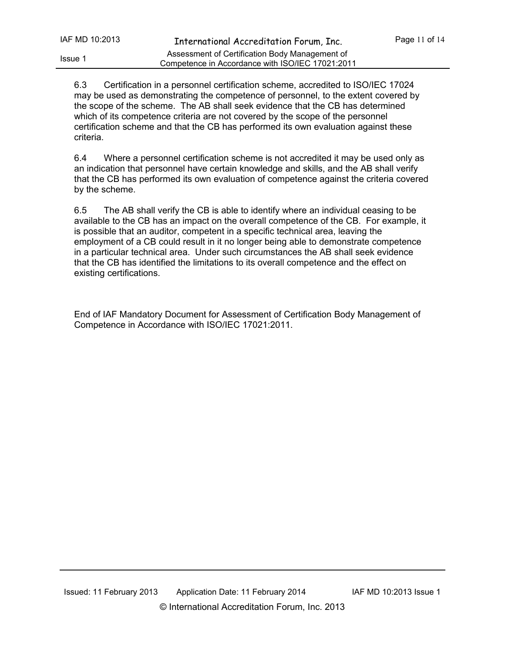6.3 Certification in a personnel certification scheme, accredited to ISO/IEC 17024 may be used as demonstrating the competence of personnel, to the extent covered by the scope of the scheme. The AB shall seek evidence that the CB has determined which of its competence criteria are not covered by the scope of the personnel certification scheme and that the CB has performed its own evaluation against these criteria.

6.4 Where a personnel certification scheme is not accredited it may be used only as an indication that personnel have certain knowledge and skills, and the AB shall verify that the CB has performed its own evaluation of competence against the criteria covered by the scheme.

6.5 The AB shall verify the CB is able to identify where an individual ceasing to be available to the CB has an impact on the overall competence of the CB. For example, it is possible that an auditor, competent in a specific technical area, leaving the employment of a CB could result in it no longer being able to demonstrate competence in a particular technical area. Under such circumstances the AB shall seek evidence that the CB has identified the limitations to its overall competence and the effect on existing certifications.

End of IAF Mandatory Document for Assessment of Certification Body Management of Competence in Accordance with ISO/IEC 17021:2011.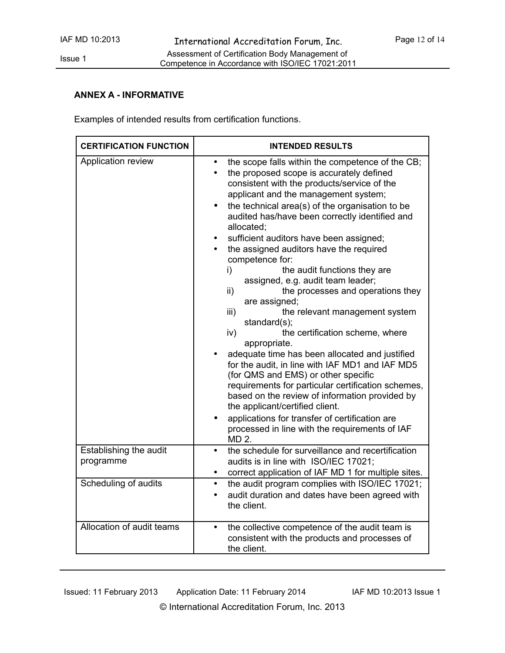#### **ANNEX A - INFORMATIVE**

Examples of intended results from certification functions.

| <b>CERTIFICATION FUNCTION</b>       | <b>INTENDED RESULTS</b>                                                                                                                                                                                                                                                                                                                                                                                                                                                                                                                                                                                                                                                                                                                                                                                                                                                                                                                                                                                                                                                         |
|-------------------------------------|---------------------------------------------------------------------------------------------------------------------------------------------------------------------------------------------------------------------------------------------------------------------------------------------------------------------------------------------------------------------------------------------------------------------------------------------------------------------------------------------------------------------------------------------------------------------------------------------------------------------------------------------------------------------------------------------------------------------------------------------------------------------------------------------------------------------------------------------------------------------------------------------------------------------------------------------------------------------------------------------------------------------------------------------------------------------------------|
| Application review                  | the scope falls within the competence of the CB;<br>the proposed scope is accurately defined<br>consistent with the products/service of the<br>applicant and the management system;<br>the technical area(s) of the organisation to be<br>audited has/have been correctly identified and<br>allocated;<br>sufficient auditors have been assigned;<br>the assigned auditors have the required<br>competence for:<br>the audit functions they are<br>i)<br>assigned, e.g. audit team leader;<br>the processes and operations they<br>ii)<br>are assigned;<br>the relevant management system<br>iii)<br>standard(s);<br>the certification scheme, where<br>iv)<br>appropriate.<br>adequate time has been allocated and justified<br>for the audit, in line with IAF MD1 and IAF MD5<br>(for QMS and EMS) or other specific<br>requirements for particular certification schemes,<br>based on the review of information provided by<br>the applicant/certified client.<br>applications for transfer of certification are<br>processed in line with the requirements of IAF<br>MD 2. |
| Establishing the audit<br>programme | the schedule for surveillance and recertification<br>audits is in line with ISO/IEC 17021;<br>correct application of IAF MD 1 for multiple sites.                                                                                                                                                                                                                                                                                                                                                                                                                                                                                                                                                                                                                                                                                                                                                                                                                                                                                                                               |
| Scheduling of audits                | the audit program complies with ISO/IEC 17021;<br>$\bullet$<br>audit duration and dates have been agreed with<br>the client.                                                                                                                                                                                                                                                                                                                                                                                                                                                                                                                                                                                                                                                                                                                                                                                                                                                                                                                                                    |
| Allocation of audit teams           | the collective competence of the audit team is<br>$\bullet$<br>consistent with the products and processes of<br>the client.                                                                                                                                                                                                                                                                                                                                                                                                                                                                                                                                                                                                                                                                                                                                                                                                                                                                                                                                                     |

© International Accreditation Forum, Inc. 2013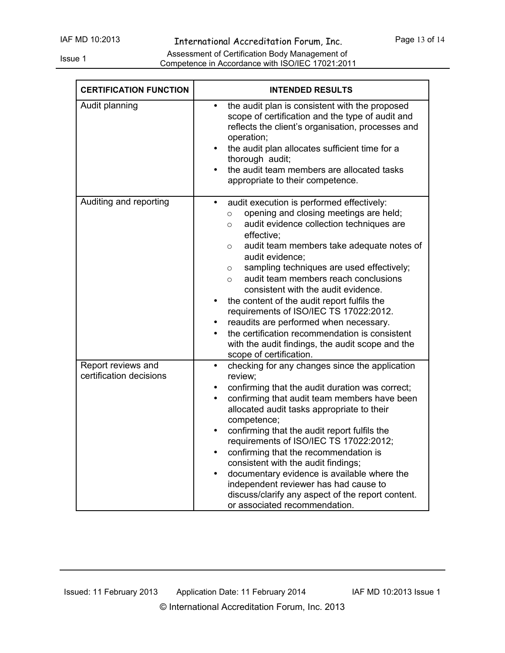| <b>CERTIFICATION FUNCTION</b>                 | <b>INTENDED RESULTS</b>                                                                                                                                                                                                                                                                                                                                                                                                                                                                                                                                                                                                                                                                             |
|-----------------------------------------------|-----------------------------------------------------------------------------------------------------------------------------------------------------------------------------------------------------------------------------------------------------------------------------------------------------------------------------------------------------------------------------------------------------------------------------------------------------------------------------------------------------------------------------------------------------------------------------------------------------------------------------------------------------------------------------------------------------|
| Audit planning                                | the audit plan is consistent with the proposed<br>$\bullet$<br>scope of certification and the type of audit and<br>reflects the client's organisation, processes and<br>operation;<br>the audit plan allocates sufficient time for a<br>$\bullet$<br>thorough audit;<br>the audit team members are allocated tasks<br>$\bullet$<br>appropriate to their competence.                                                                                                                                                                                                                                                                                                                                 |
| Auditing and reporting                        | audit execution is performed effectively:<br>$\bullet$<br>opening and closing meetings are held;<br>$\circ$<br>audit evidence collection techniques are<br>$\circ$<br>effective:<br>audit team members take adequate notes of<br>$\circ$<br>audit evidence;<br>sampling techniques are used effectively;<br>$\circ$<br>audit team members reach conclusions<br>$\circ$<br>consistent with the audit evidence.<br>the content of the audit report fulfils the<br>$\bullet$<br>requirements of ISO/IEC TS 17022:2012.<br>reaudits are performed when necessary.<br>٠<br>the certification recommendation is consistent<br>with the audit findings, the audit scope and the<br>scope of certification. |
| Report reviews and<br>certification decisions | checking for any changes since the application<br>$\bullet$<br>review;<br>confirming that the audit duration was correct;<br>٠<br>confirming that audit team members have been<br>$\bullet$<br>allocated audit tasks appropriate to their<br>competence;<br>confirming that the audit report fulfils the<br>$\bullet$<br>requirements of ISO/IEC TS 17022:2012;<br>confirming that the recommendation is<br>$\bullet$<br>consistent with the audit findings;<br>documentary evidence is available where the<br>$\bullet$<br>independent reviewer has had cause to<br>discuss/clarify any aspect of the report content.<br>or associated recommendation.                                             |